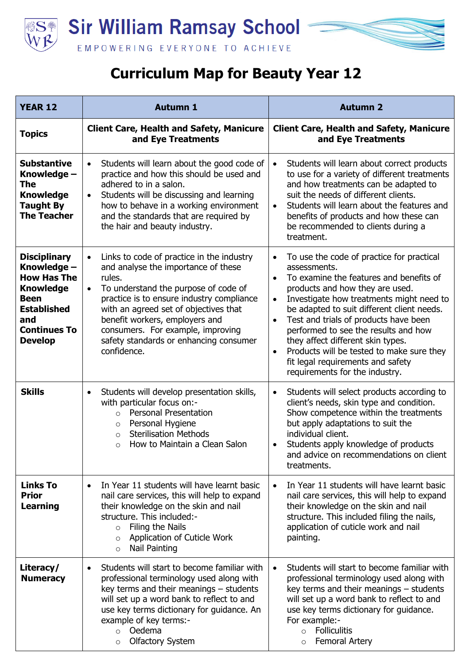

## **Curriculum Map for Beauty Year 12**

| <b>YEAR 12</b>                                                                                                                                                    | <b>Autumn 1</b>                                                                                                                                                                                                                                                                                                                                                                    | <b>Autumn 2</b>                                                                                                                                                                                                                                                                                                                                                                                                                                                                                                                              |
|-------------------------------------------------------------------------------------------------------------------------------------------------------------------|------------------------------------------------------------------------------------------------------------------------------------------------------------------------------------------------------------------------------------------------------------------------------------------------------------------------------------------------------------------------------------|----------------------------------------------------------------------------------------------------------------------------------------------------------------------------------------------------------------------------------------------------------------------------------------------------------------------------------------------------------------------------------------------------------------------------------------------------------------------------------------------------------------------------------------------|
| <b>Topics</b>                                                                                                                                                     | <b>Client Care, Health and Safety, Manicure</b><br>and Eye Treatments                                                                                                                                                                                                                                                                                                              | <b>Client Care, Health and Safety, Manicure</b><br>and Eye Treatments                                                                                                                                                                                                                                                                                                                                                                                                                                                                        |
| <b>Substantive</b><br>Knowledge -<br>The<br><b>Knowledge</b><br><b>Taught By</b><br><b>The Teacher</b>                                                            | Students will learn about the good code of<br>$\bullet$<br>practice and how this should be used and<br>adhered to in a salon.<br>Students will be discussing and learning<br>$\bullet$<br>how to behave in a working environment<br>and the standards that are required by<br>the hair and beauty industry.                                                                        | Students will learn about correct products<br>$\bullet$<br>to use for a variety of different treatments<br>and how treatments can be adapted to<br>suit the needs of different clients.<br>Students will learn about the features and<br>$\bullet$<br>benefits of products and how these can<br>be recommended to clients during a<br>treatment.                                                                                                                                                                                             |
| <b>Disciplinary</b><br>Knowledge -<br><b>How Has The</b><br><b>Knowledge</b><br><b>Been</b><br><b>Established</b><br>and<br><b>Continues To</b><br><b>Develop</b> | Links to code of practice in the industry<br>$\bullet$<br>and analyse the importance of these<br>rules.<br>To understand the purpose of code of<br>$\bullet$<br>practice is to ensure industry compliance<br>with an agreed set of objectives that<br>benefit workers, employers and<br>consumers. For example, improving<br>safety standards or enhancing consumer<br>confidence. | To use the code of practice for practical<br>$\bullet$<br>assessments.<br>To examine the features and benefits of<br>$\bullet$<br>products and how they are used.<br>Investigate how treatments might need to<br>$\bullet$<br>be adapted to suit different client needs.<br>Test and trials of products have been<br>$\bullet$<br>performed to see the results and how<br>they affect different skin types.<br>Products will be tested to make sure they<br>$\bullet$<br>fit legal requirements and safety<br>requirements for the industry. |
| <b>Skills</b>                                                                                                                                                     | Students will develop presentation skills,<br>$\bullet$<br>with particular focus on:-<br><b>Personal Presentation</b><br>$\circ$<br>Personal Hygiene<br>$\circ$<br><b>Sterilisation Methods</b><br>$\circ$<br>How to Maintain a Clean Salon<br>$\circ$                                                                                                                             | Students will select products according to<br>$\bullet$<br>client's needs, skin type and condition.<br>Show competence within the treatments<br>but apply adaptations to suit the<br>individual client.<br>Students apply knowledge of products<br>and advice on recommendations on client<br>treatments.                                                                                                                                                                                                                                    |
| <b>Links To</b><br><b>Prior</b><br><b>Learning</b>                                                                                                                | In Year 11 students will have learnt basic<br>$\bullet$<br>nail care services, this will help to expand<br>their knowledge on the skin and nail<br>structure. This included:-<br>$\circ$ Filing the Nails<br>Application of Cuticle Work<br>$\circ$<br>Nail Painting<br>$\circ$                                                                                                    | In Year 11 students will have learnt basic<br>$\bullet$<br>nail care services, this will help to expand<br>their knowledge on the skin and nail<br>structure. This included filing the nails,<br>application of cuticle work and nail<br>painting.                                                                                                                                                                                                                                                                                           |
| Literacy/<br><b>Numeracy</b>                                                                                                                                      | Students will start to become familiar with<br>$\bullet$<br>professional terminology used along with<br>key terms and their meanings $-$ students<br>will set up a word bank to reflect to and<br>use key terms dictionary for guidance. An<br>example of key terms:-<br>Oedema<br>$\circ$<br><b>Olfactory System</b><br>$\circ$                                                   | Students will start to become familiar with<br>$\bullet$<br>professional terminology used along with<br>key terms and their meanings - students<br>will set up a word bank to reflect to and<br>use key terms dictionary for guidance.<br>For example:-<br><b>Folliculitis</b><br>$\circ$<br><b>Femoral Artery</b><br>$\circ$                                                                                                                                                                                                                |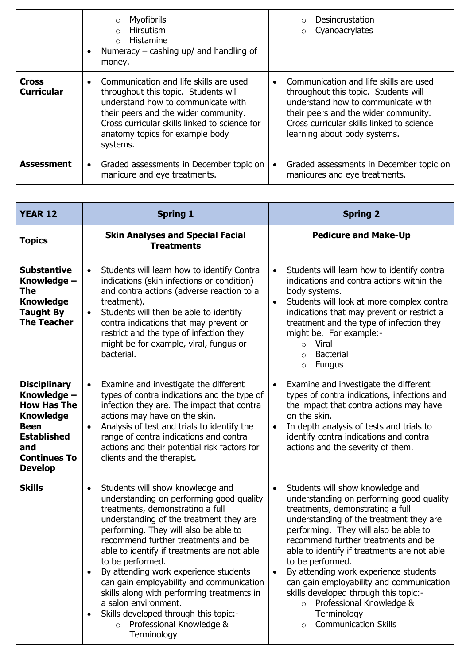|                                   | Myofibrils<br>$\circ$<br>Hirsutism<br>$\bigcap$<br>Histamine<br>$\Omega$<br>Numeracy $-$ cashing up/ and handling of<br>money.                                                                                                                                            | <b>Desincrustation</b><br>$\bigcirc$<br>Cyanoacrylates<br>$\circ$                                                                                                                                                                         |
|-----------------------------------|---------------------------------------------------------------------------------------------------------------------------------------------------------------------------------------------------------------------------------------------------------------------------|-------------------------------------------------------------------------------------------------------------------------------------------------------------------------------------------------------------------------------------------|
| <b>Cross</b><br><b>Curricular</b> | Communication and life skills are used<br>$\bullet$<br>throughout this topic. Students will<br>understand how to communicate with<br>their peers and the wider community.<br>Cross curricular skills linked to science for<br>anatomy topics for example body<br>systems. | Communication and life skills are used<br>throughout this topic. Students will<br>understand how to communicate with<br>their peers and the wider community.<br>Cross curricular skills linked to science<br>learning about body systems. |
| <b>Assessment</b>                 | Graded assessments in December topic on<br>$\bullet$<br>manicure and eye treatments.                                                                                                                                                                                      | Graded assessments in December topic on<br>manicures and eye treatments.                                                                                                                                                                  |

| <b>YEAR 12</b>                                                                                                                                                    | <b>Spring 1</b>                                                                                                                                                                                                                                                                                                                                                                                                                                                                                                                                                                                                 | <b>Spring 2</b>                                                                                                                                                                                                                                                                                                                                                                                                                                                                                                                                |
|-------------------------------------------------------------------------------------------------------------------------------------------------------------------|-----------------------------------------------------------------------------------------------------------------------------------------------------------------------------------------------------------------------------------------------------------------------------------------------------------------------------------------------------------------------------------------------------------------------------------------------------------------------------------------------------------------------------------------------------------------------------------------------------------------|------------------------------------------------------------------------------------------------------------------------------------------------------------------------------------------------------------------------------------------------------------------------------------------------------------------------------------------------------------------------------------------------------------------------------------------------------------------------------------------------------------------------------------------------|
| <b>Topics</b>                                                                                                                                                     | <b>Skin Analyses and Special Facial</b><br><b>Treatments</b>                                                                                                                                                                                                                                                                                                                                                                                                                                                                                                                                                    | <b>Pedicure and Make-Up</b>                                                                                                                                                                                                                                                                                                                                                                                                                                                                                                                    |
| <b>Substantive</b><br>Knowledge -<br><b>The</b><br><b>Knowledge</b><br><b>Taught By</b><br><b>The Teacher</b>                                                     | Students will learn how to identify Contra<br>$\bullet$<br>indications (skin infections or condition)<br>and contra actions (adverse reaction to a<br>treatment).<br>Students will then be able to identify<br>$\bullet$<br>contra indications that may prevent or<br>restrict and the type of infection they<br>might be for example, viral, fungus or<br>bacterial.                                                                                                                                                                                                                                           | Students will learn how to identify contra<br>$\bullet$<br>indications and contra actions within the<br>body systems.<br>Students will look at more complex contra<br>$\bullet$<br>indications that may prevent or restrict a<br>treatment and the type of infection they<br>might be. For example:-<br>Viral<br>$\circ$<br><b>Bacterial</b><br>$\circ$<br><b>Fungus</b><br>$\circ$                                                                                                                                                            |
| <b>Disciplinary</b><br>Knowledge -<br><b>How Has The</b><br><b>Knowledge</b><br><b>Been</b><br><b>Established</b><br>and<br><b>Continues To</b><br><b>Develop</b> | Examine and investigate the different<br>$\bullet$<br>types of contra indications and the type of<br>infection they are. The impact that contra<br>actions may have on the skin.<br>Analysis of test and trials to identify the<br>$\bullet$<br>range of contra indications and contra<br>actions and their potential risk factors for<br>clients and the therapist.                                                                                                                                                                                                                                            | Examine and investigate the different<br>$\bullet$<br>types of contra indications, infections and<br>the impact that contra actions may have<br>on the skin.<br>In depth analysis of tests and trials to<br>$\bullet$<br>identify contra indications and contra<br>actions and the severity of them.                                                                                                                                                                                                                                           |
| <b>Skills</b>                                                                                                                                                     | Students will show knowledge and<br>$\bullet$<br>understanding on performing good quality<br>treatments, demonstrating a full<br>understanding of the treatment they are<br>performing. They will also be able to<br>recommend further treatments and be<br>able to identify if treatments are not able<br>to be performed.<br>By attending work experience students<br>$\bullet$<br>can gain employability and communication<br>skills along with performing treatments in<br>a salon environment.<br>Skills developed through this topic:-<br>$\bullet$<br>Professional Knowledge &<br>$\circ$<br>Terminology | Students will show knowledge and<br>$\bullet$<br>understanding on performing good quality<br>treatments, demonstrating a full<br>understanding of the treatment they are<br>performing. They will also be able to<br>recommend further treatments and be<br>able to identify if treatments are not able<br>to be performed.<br>By attending work experience students<br>can gain employability and communication<br>skills developed through this topic:-<br>Professional Knowledge &<br>$\circ$<br>Terminology<br><b>Communication Skills</b> |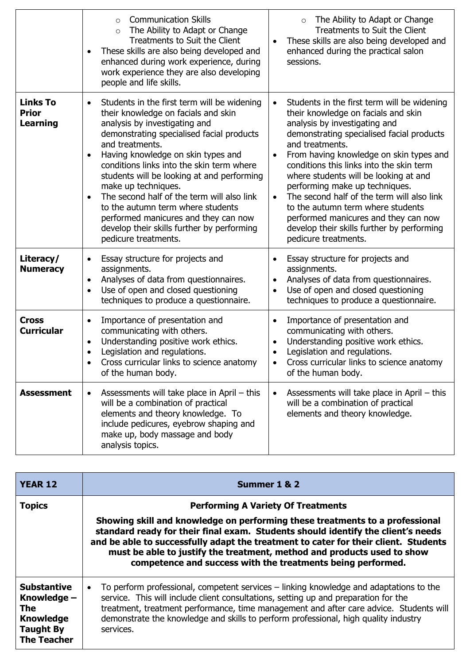|                                                    | <b>Communication Skills</b><br>$\circ$<br>The Ability to Adapt or Change<br>$\circ$<br>Treatments to Suit the Client<br>These skills are also being developed and<br>enhanced during work experience, during<br>work experience they are also developing<br>people and life skills.                                                                                                                                                                                                                                                                       | The Ability to Adapt or Change<br>$\circ$<br>Treatments to Suit the Client<br>These skills are also being developed and<br>enhanced during the practical salon<br>sessions.                                                                                                                                                                                                                                                                                                                                                                                                                   |
|----------------------------------------------------|-----------------------------------------------------------------------------------------------------------------------------------------------------------------------------------------------------------------------------------------------------------------------------------------------------------------------------------------------------------------------------------------------------------------------------------------------------------------------------------------------------------------------------------------------------------|-----------------------------------------------------------------------------------------------------------------------------------------------------------------------------------------------------------------------------------------------------------------------------------------------------------------------------------------------------------------------------------------------------------------------------------------------------------------------------------------------------------------------------------------------------------------------------------------------|
| <b>Links To</b><br><b>Prior</b><br><b>Learning</b> | Students in the first term will be widening<br>$\bullet$<br>their knowledge on facials and skin<br>analysis by investigating and<br>demonstrating specialised facial products<br>and treatments.<br>Having knowledge on skin types and<br>conditions links into the skin term where<br>students will be looking at and performing<br>make up techniques.<br>The second half of the term will also link<br>to the autumn term where students<br>performed manicures and they can now<br>develop their skills further by performing<br>pedicure treatments. | Students in the first term will be widening<br>$\bullet$<br>their knowledge on facials and skin<br>analysis by investigating and<br>demonstrating specialised facial products<br>and treatments.<br>From having knowledge on skin types and<br>$\bullet$<br>conditions this links into the skin term<br>where students will be looking at and<br>performing make up techniques.<br>The second half of the term will also link<br>$\bullet$<br>to the autumn term where students<br>performed manicures and they can now<br>develop their skills further by performing<br>pedicure treatments. |
| Literacy/<br><b>Numeracy</b>                       | Essay structure for projects and<br>assignments.<br>Analyses of data from questionnaires.<br>$\bullet$<br>Use of open and closed questioning<br>$\bullet$<br>techniques to produce a questionnaire.                                                                                                                                                                                                                                                                                                                                                       | Essay structure for projects and<br>assignments.<br>Analyses of data from questionnaires.<br>$\bullet$<br>Use of open and closed questioning<br>$\bullet$<br>techniques to produce a questionnaire.                                                                                                                                                                                                                                                                                                                                                                                           |
| <b>Cross</b><br><b>Curricular</b>                  | Importance of presentation and<br>communicating with others.<br>Understanding positive work ethics.<br>$\bullet$<br>Legislation and regulations.<br>Cross curricular links to science anatomy<br>of the human body.                                                                                                                                                                                                                                                                                                                                       | Importance of presentation and<br>communicating with others.<br>Understanding positive work ethics.<br>$\bullet$<br>Legislation and regulations.<br>$\bullet$<br>Cross curricular links to science anatomy<br>of the human body.                                                                                                                                                                                                                                                                                                                                                              |
| <b>Assessment</b>                                  | Assessments will take place in April – this<br>$\bullet$<br>will be a combination of practical<br>elements and theory knowledge. To<br>include pedicures, eyebrow shaping and<br>make up, body massage and body<br>analysis topics.                                                                                                                                                                                                                                                                                                                       | Assessments will take place in April – this<br>$\bullet$<br>will be a combination of practical<br>elements and theory knowledge.                                                                                                                                                                                                                                                                                                                                                                                                                                                              |

| <b>YEAR 12</b>                                                                                                | Summer 1 & 2                                                                                                                                                                                                                                                                                                                                                                                                                                   |
|---------------------------------------------------------------------------------------------------------------|------------------------------------------------------------------------------------------------------------------------------------------------------------------------------------------------------------------------------------------------------------------------------------------------------------------------------------------------------------------------------------------------------------------------------------------------|
| <b>Topics</b>                                                                                                 | <b>Performing A Variety Of Treatments</b><br>Showing skill and knowledge on performing these treatments to a professional<br>standard ready for their final exam. Students should identify the client's needs<br>and be able to successfully adapt the treatment to cater for their client. Students<br>must be able to justify the treatment, method and products used to show<br>competence and success with the treatments being performed. |
| <b>Substantive</b><br>Knowledge -<br><b>The</b><br><b>Knowledge</b><br><b>Taught By</b><br><b>The Teacher</b> | To perform professional, competent services - linking knowledge and adaptations to the<br>$\bullet$<br>service. This will include client consultations, setting up and preparation for the<br>treatment, treatment performance, time management and after care advice. Students will<br>demonstrate the knowledge and skills to perform professional, high quality industry<br>services.                                                       |